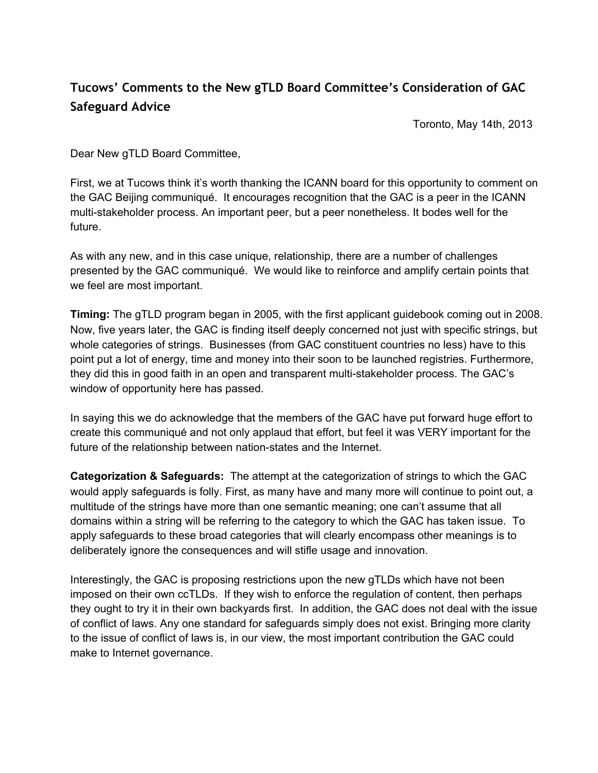## **Tucows' Comments to the New gTLD Board Committee's Consideration of GAC Safeguard Advice**

Toronto, May 14th, 2013

Dear New gTLD Board Committee,

First, we at Tucows think it's worth thanking the ICANN board for this opportunity to comment on the GAC Beijing communiqué. It encourages recognition that the GAC is a peer in the ICANN multi-stakeholder process. An important peer, but a peer nonetheless. It bodes well for the future.

As with any new, and in this case unique, relationship, there are a number of challenges presented by the GAC communiqué. We would like to reinforce and amplify certain points that we feel are most important.

**Timing:** The gTLD program began in 2005, with the first applicant guidebook coming out in 2008. Now, five years later, the GAC is finding itself deeply concerned not just with specific strings, but whole categories of strings. Businesses (from GAC constituent countries no less) have to this point put a lot of energy, time and money into their soon to be launched registries. Furthermore, they did this in good faith in an open and transparent multi-stakeholder process. The GAC's window of opportunity here has passed.

In saying this we do acknowledge that the members of the GAC have put forward huge effort to create this communiqué and not only applaud that effort, but feel it was VERY important for the future of the relationship between nation-states and the Internet.

**Categorization & Safeguards:** The attempt at the categorization of strings to which the GAC would apply safeguards is folly. First, as many have and many more will continue to point out, a multitude of the strings have more than one semantic meaning; one can't assume that all domains within a string will be referring to the category to which the GAC has taken issue. To apply safeguards to these broad categories that will clearly encompass other meanings is to deliberately ignore the consequences and will stifle usage and innovation.

Interestingly, the GAC is proposing restrictions upon the new gTLDs which have not been imposed on their own ccTLDs. If they wish to enforce the regulation of content, then perhaps they ought to try it in their own backyards first. In addition, the GAC does not deal with the issue of conflict of laws. Any one standard for safeguards simply does not exist. Bringing more clarity to the issue of conflict of laws is, in our view, the most important contribution the GAC could make to Internet governance.